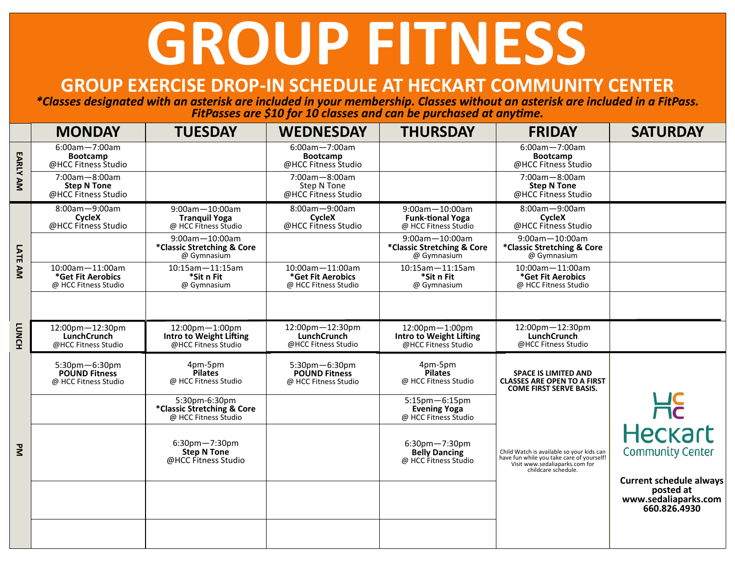## **GROUP FITNESS**

## **GROUP EXERCISE DROP-IN SCHEDULE AT HECKART COMMUNITY CENTER**

*\*Classes designated with an asterisk are included in your membership. Classes without an asterisk are included in a FitPass. FitPasses are \$10 for 10 classes and can be purchased at anytime.*

|                | <b>MONDAY</b>                                                  | <b>TUESDAY</b>                                                      | <b>WEDNESDAY</b>                                              | <b>THURSDAY</b>                                                      | <b>FRIDAY</b>                                                                                                                                   | <b>SATURDAY</b>                                                                     |
|----------------|----------------------------------------------------------------|---------------------------------------------------------------------|---------------------------------------------------------------|----------------------------------------------------------------------|-------------------------------------------------------------------------------------------------------------------------------------------------|-------------------------------------------------------------------------------------|
|                | 6:00am-7:00am<br><b>Bootcamp</b><br>@HCC Fitness Studio        |                                                                     | 6:00am-7:00am<br><b>Bootcamp</b><br>@HCC Fitness Studio       |                                                                      | 6:00am-7:00am<br><b>Bootcamp</b><br>@HCC Fitness Studio                                                                                         |                                                                                     |
| EARLY AM       | $7:00am - 8:00am$<br><b>Step N Tone</b><br>@HCC Fitness Studio |                                                                     | 7:00am-8:00am<br><b>Step N Tone</b><br>@HCC Fitness Studio    |                                                                      | 7:00am-8:00am<br><b>Step N Tone</b><br>@HCC Fitness Studio                                                                                      |                                                                                     |
| LATE AM        | 8:00am-9:00am<br>CycleX<br>@HCC Fitness Studio                 | 9:00am-10:00am<br><b>Tranquil Yoga</b><br>@ HCC Fitness Studio      | 8:00am-9:00am<br>CycleX<br>@HCC Fitness Studio                | 9:00am-10:00am<br><b>Funk-tional Yoga</b><br>@ HCC Fitness Studio    | 8:00am-9:00am<br>CycleX<br>@HCC Fitness Studio                                                                                                  |                                                                                     |
|                |                                                                | $9:00$ am $-10:00$ am<br>*Classic Stretching & Core<br>@ Gymnasium  |                                                               | $9:00$ am $-10:00$ am<br>*Classic Stretching & Core<br>@ Gymnasium   | 9:00am-10:00am<br>*Classic Stretching & Core<br>@ Gymnasium                                                                                     |                                                                                     |
|                | 10:00am-11:00am<br>*Get Fit Aerobics<br>@ HCC Fitness Studio   | $10:15$ am $-11:15$ am<br>*Sit n Fit<br>@ Gymnasium                 | 10:00am-11:00am<br>*Get Fit Aerobics<br>@ HCC Fitness Studio  | $10:15$ am $-11:15$ am<br>*Sit n Fit<br>@ Gymnasium                  | 10:00am-11:00am<br>*Get Fit Aerobics<br>@ HCC Fitness Studio                                                                                    |                                                                                     |
|                |                                                                |                                                                     |                                                               |                                                                      |                                                                                                                                                 |                                                                                     |
| <b>LUNCH</b>   | 12:00pm-12:30pm<br>LunchCrunch<br>@HCC Fitness Studio          | 12:00pm-1:00pm<br>Intro to Weight Lifting<br>@HCC Fitness Studio    | 12:00pm-12:30pm<br><b>LunchCrunch</b><br>@HCC Fitness Studio  | 12:00pm-1:00pm<br>Intro to Weight Lifting<br>@HCC Fitness Studio     | 12:00pm-12:30pm<br><b>LunchCrunch</b><br>@HCC Fitness Studio                                                                                    |                                                                                     |
|                | 5:30pm-6:30pm<br><b>POUND Fitness</b><br>@ HCC Fitness Studio  | 4pm-5pm<br><b>Pilates</b><br>@ HCC Fitness Studio                   | 5:30pm-6:30pm<br><b>POUND Fitness</b><br>@ HCC Fitness Studio | 4pm-5pm<br><b>Pilates</b><br>@ HCC Fitness Studio                    | <b>SPACE IS LIMITED AND</b><br><b>CLASSES ARE OPEN TO A FIRST</b><br><b>COME FIRST SERVE BASIS.</b>                                             |                                                                                     |
|                |                                                                | 5:30pm-6:30pm<br>*Classic Stretching & Core<br>@ HCC Fitness Studio |                                                               | 5:15pm-6:15pm<br><b>Evening Yoga</b><br>@ HCC Fitness Studio         |                                                                                                                                                 | Heckart                                                                             |
| $\overline{z}$ |                                                                | $6:30$ pm $-7:30$ pm<br><b>Step N Tone</b><br>@HCC Fitness Studio   |                                                               | $6:30$ pm $-7:30$ pm<br><b>Belly Dancing</b><br>@ HCC Fitness Studio | Child Watch is available so your kids can<br>have fun while you take care of yourself!<br>Visit www.sedaliaparks.com for<br>childcare schedule. | <b>Community Center</b>                                                             |
|                |                                                                |                                                                     |                                                               |                                                                      |                                                                                                                                                 | <b>Current schedule always</b><br>posted at<br>www.sedaliaparks.com<br>660.826.4930 |
|                |                                                                |                                                                     |                                                               |                                                                      |                                                                                                                                                 |                                                                                     |